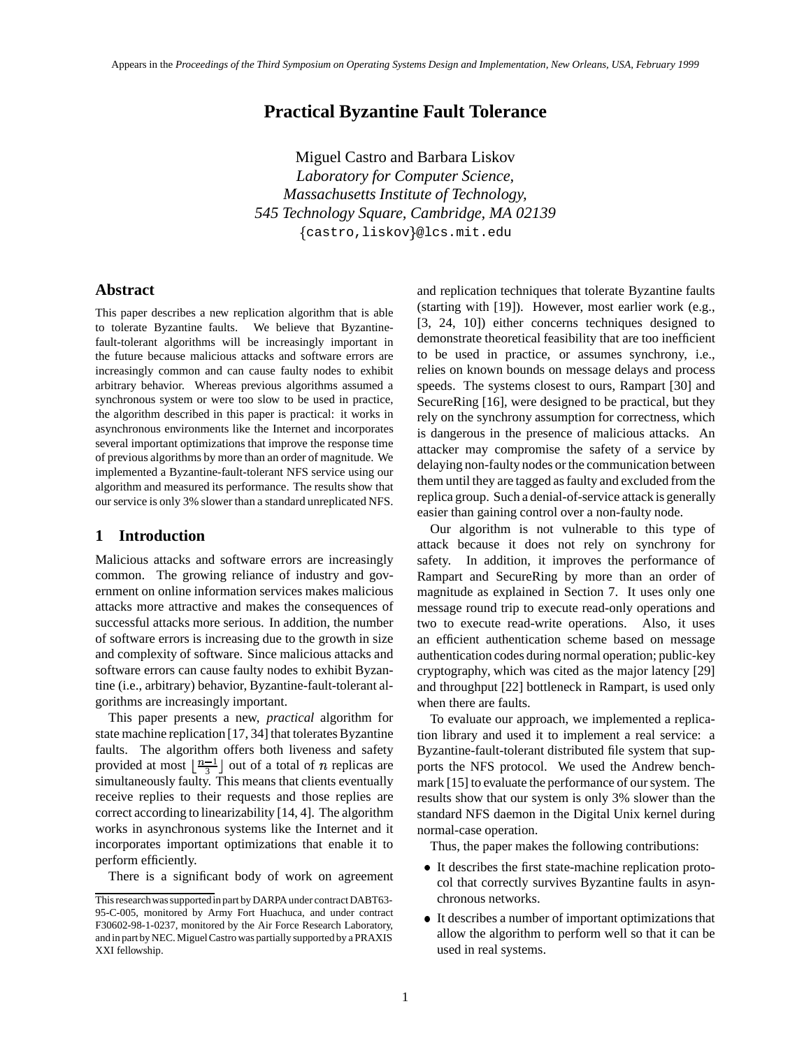# **Practical Byzantine Fault Tolerance**

Miguel Castro and Barbara Liskov *Laboratory for Computer Science, Massachusetts Institute of Technology, 545 Technology Square, Cambridge, MA 02139* castro,liskov @lcs.mit.edu

# **Abstract**

This paper describes a new replication algorithm that is able to tolerate Byzantine faults. We believe that Byzantinefault-tolerant algorithms will be increasingly important in the future because malicious attacks and software errors are increasingly common and can cause faulty nodes to exhibit arbitrary behavior. Whereas previous algorithms assumed a synchronous system or were too slow to be used in practice, the algorithm described in this paper is practical: it works in asynchronous environments like the Internet and incorporates several important optimizations that improve the response time of previous algorithms by more than an order of magnitude. We implemented a Byzantine-fault-tolerant NFS service using our algorithm and measured its performance. The results show that our service is only 3% slower than a standard unreplicated NFS.

## **1 Introduction**

Malicious attacks and software errors are increasingly common. The growing reliance of industry and government on online information services makes malicious attacks more attractive and makes the consequences of successful attacks more serious. In addition, the number of software errors is increasing due to the growth in size and complexity of software. Since malicious attacks and software errors can cause faulty nodes to exhibit Byzantine (i.e., arbitrary) behavior, Byzantine-fault-tolerant algorithms are increasingly important.

This paper presents a new, *practical* algorithm for state machine replication  $[17, 34]$  that tolerates Byzantine faults. The algorithm offers both liveness and safety provided at most  $\lfloor \frac{n-1}{3} \rfloor$  out of a total of *n* replicas are simultaneously faulty. This means that clients eventually receive replies to their requests and those replies are correct according to linearizability [14, 4]. The algorithm works in asynchronous systems like the Internet and it incorporates important optimizations that enable it to perform efficiently.

There is a significant body of work on agreement

and replication techniques that tolerate Byzantine faults (starting with [19]). However, most earlier work (e.g., [3, 24, 10]) either concerns techniques designed to demonstrate theoretical feasibility that are too inefficient to be used in practice, or assumes synchrony, i.e., relies on known bounds on message delays and process speeds. The systems closest to ours, Rampart [30] and SecureRing [16], were designed to be practical, but they rely on the synchrony assumption for correctness, which is dangerous in the presence of malicious attacks. An attacker may compromise the safety of a service by delaying non-faulty nodes or the communication between them until they are tagged as faulty and excluded from the replica group. Such a denial-of-service attack is generally easier than gaining control over a non-faulty node.

Our algorithm is not vulnerable to this type of attack because it does not rely on synchrony for safety. In addition, it improves the performance of Rampart and SecureRing by more than an order of magnitude as explained in Section 7. It uses only one message round trip to execute read-only operations and two to execute read-write operations. Also, it uses an efficient authentication scheme based on message authentication codes during normal operation; public-key cryptography, which was cited as the major latency [29] and throughput [22] bottleneck in Rampart, is used only when there are faults.

To evaluate our approach, we implemented a replication library and used it to implement a real service: a Byzantine-fault-tolerant distributed file system that supports the NFS protocol. We used the Andrew benchmark [15] to evaluate the performance of oursystem. The results show that our system is only 3% slower than the standard NFS daemon in the Digital Unix kernel during normal-case operation.

Thus, the paper makes the following contributions:

- It describes the first state-machine replication protocol that correctly survives Byzantine faults in asynchronous networks.
- It describes a number of important optimizations that allow the algorithm to perform well so that it can be used in real systems.

This research was supported in part by DARPA under contract DABT63-95-C-005, monitored by Army Fort Huachuca, and under contract F30602-98-1-0237, monitored by the Air Force Research Laboratory, and in part by NEC. Miguel Castro was partially supported by a PRAXIS XXI fellowship.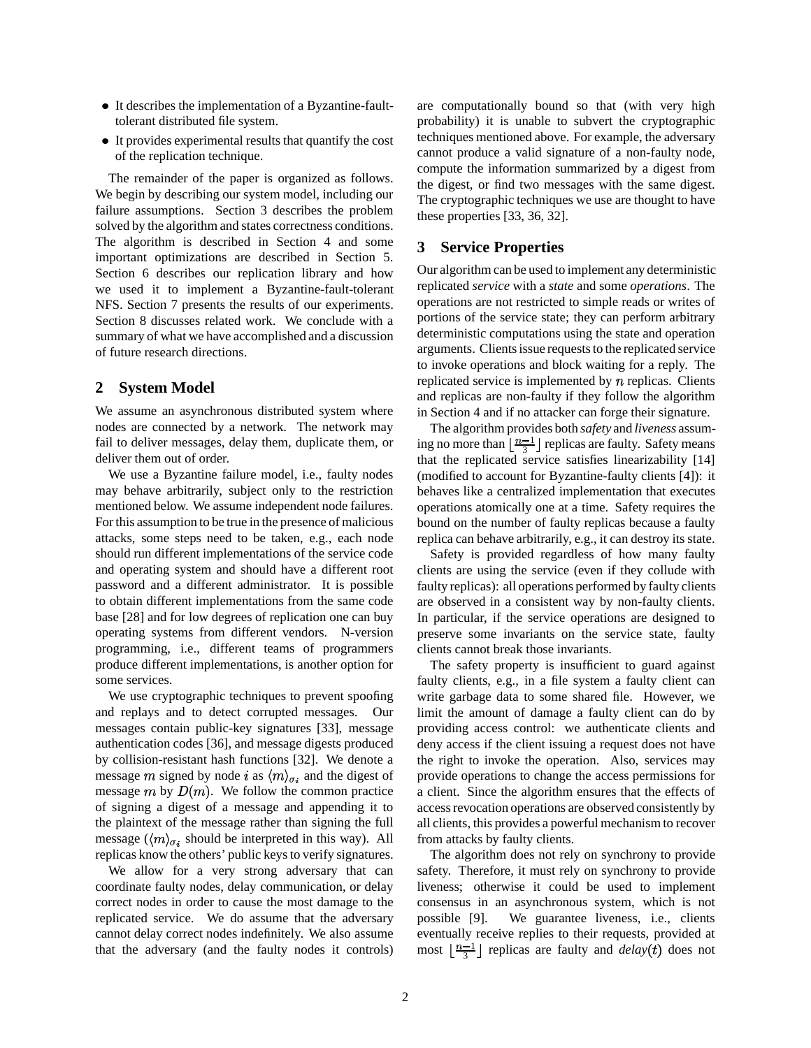- It describes the implementation of a Byzantine-faulttolerant distributed file system.
- It provides experimental results that quantify the cost of the replication technique.

The remainder of the paper is organized as follows. We begin by describing our system model, including our failure assumptions. Section 3 describes the problem solved by the algorithm and states correctness conditions. The algorithm is described in Section 4 and some important optimizations are described in Section 5. Section 6 describes our replication library and how we used it to implement a Byzantine-fault-tolerant NFS. Section 7 presents the results of our experiments. Section 8 discusses related work. We conclude with a summary of what we have accomplished and a discussion of future research directions.

## **2 System Model**

We assume an asynchronous distributed system where nodes are connected by a network. The network may fail to deliver messages, delay them, duplicate them, or deliver them out of order.

We use a Byzantine failure model, i.e., faulty nodes may behave arbitrarily, subject only to the restriction mentioned below. We assume independent node failures. Forthis assumption to be true in the presence of malicious attacks, some steps need to be taken, e.g., each node should run different implementations of the service code and operating system and should have a different root password and a different administrator. It is possible to obtain different implementations from the same code base [28] and for low degrees of replication one can buy operating systems from different vendors. N-version programming, i.e., different teams of programmers produce different implementations, is another option for some services.

We use cryptographic techniques to prevent spoofing and replays and to detect corrupted messages. Our messages contain public-key signatures [33], message authentication codes [36], and message digests produced by collision-resistant hash functions [32]. We denote a message m signed by node i as  $\langle m \rangle_{\sigma_i}$  and the digest of message  $m$  by  $D(m)$ . We follow the common practice of signing a digest of a message and appending it to the plaintext of the message rather than signing the full message  $({\langle m \rangle_{\sigma_i}}$  should be interpreted in this way). All replicas know the others' public keysto verify signatures.

We allow for a very strong adversary that can coordinate faulty nodes, delay communication, or delay correct nodes in order to cause the most damage to the replicated service. We do assume that the adversary cannot delay correct nodes indefinitely. We also assume that the adversary (and the faulty nodes it controls) are computationally bound so that (with very high probability) it is unable to subvert the cryptographic techniques mentioned above. For example, the adversary cannot produce a valid signature of a non-faulty node, compute the information summarized by a digest from the digest, or find two messages with the same digest. The cryptographic techniques we use are thought to have these properties [33, 36, 32].

## **3 Service Properties**

Our algorithm can be used to implement any deterministic replicated *service* with a *state* and some *operations*. The operations are not restricted to simple reads or writes of portions of the service state; they can perform arbitrary deterministic computations using the state and operation arguments. Clients issue requests to the replicated service to invoke operations and block waiting for a reply. The replicated service is implemented by  $n$  replicas. Clients and replicas are non-faulty if they follow the algorithm in Section 4 and if no attacker can forge their signature.

The algorithm provides both *safety* and *liveness* assuming no more than  $\lfloor \frac{n-1}{3} \rfloor$  replicas are faulty. Safety means that the replicated service satisfies linearizability [14] (modified to account for Byzantine-faulty clients [4]): it behaves like a centralized implementation that executes operations atomically one at a time. Safety requires the bound on the number of faulty replicas because a faulty replica can behave arbitrarily, e.g., it can destroy its state.

Safety is provided regardless of how many faulty clients are using the service (even if they collude with faulty replicas): all operations performed by faulty clients are observed in a consistent way by non-faulty clients. In particular, if the service operations are designed to preserve some invariants on the service state, faulty clients cannot break those invariants.

The safety property is insufficient to guard against faulty clients, e.g., in a file system a faulty client can write garbage data to some shared file. However, we limit the amount of damage a faulty client can do by providing access control: we authenticate clients and deny access if the client issuing a request does not have the right to invoke the operation. Also, services may provide operations to change the access permissions for a client. Since the algorithm ensures that the effects of access revocation operations are observed consistently by all clients, this provides a powerful mechanism to recover from attacks by faulty clients.

The algorithm does not rely on synchrony to provide safety. Therefore, it must rely on synchrony to provide liveness; otherwise it could be used to implement consensus in an asynchronous system, which is not possible [9]. We guarantee liveness, i.e., clients eventually receive replies to their requests, provided at most  $\lfloor \frac{n-1}{3} \rfloor$  replicas are faulty and *delay*(*t*) does not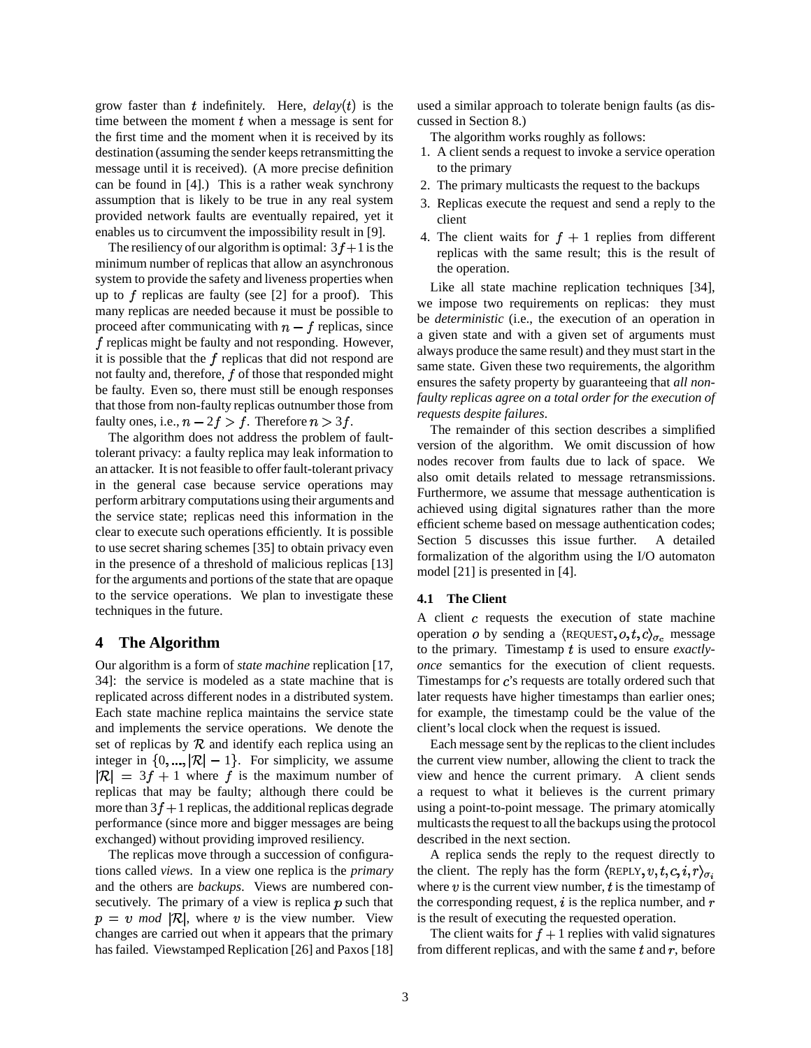grow faster than  $t$  indefinitely. Here,  $delay(t)$  is the time between the moment  $t$  when a message is sent for the first time and the moment when it is received by its destination (assuming the sender keeps retransmitting the message until it is received). (A more precise definition can be found in [4].) This is a rather weak synchrony assumption that is likely to be true in any real system provided network faults are eventually repaired, yet it enables us to circumvent the impossibility result in [9].

The resiliency of our algorithm is optimal:  $3f+1$  is the minimum number of replicas that allow an asynchronous system to provide the safety and liveness properties when up to f replicas are faulty (see [2] for a proof). This many replicas are needed because it must be possible to proceed after communicating with  $n - f$  replicas, since  $f$  replicas might be faulty and not responding. However, it is possible that the  $f$  replicas that did not respond are not faulty and, therefore,  $f$  of those that responded might be faulty. Even so, there must still be enough responses that those from non-faulty replicas outnumber those from faulty ones, i.e.,  $n - 2f > f$ . Therefore  $n > 3f$ .

The algorithm does not address the problem of faulttolerant privacy: a faulty replica may leak information to an attacker. Itis not feasible to offerfault-tolerant privacy in the general case because service operations may perform arbitrary computations using their arguments and the service state; replicas need this information in the clear to execute such operations efficiently. It is possible to use secret sharing schemes [35] to obtain privacy even in the presence of a threshold of malicious replicas [13] for the arguments and portions of the state that are opaque to the service operations. We plan to investigate these techniques in the future.

## **4 The Algorithm**

Our algorithm is a form of *state machine* replication [17, 34]: the service is modeled as a state machine that is replicated across different nodes in a distributed system. Each state machine replica maintains the service state and implements the service operations. We denote the set of replicas by  $R$  and identify each replica using an integer in  $\{0, ..., |\mathcal{R}|-1\}$ . For simplicity, we assume  $|\mathcal{R}| = 3f + 1$  where f is the maximum number of replicas that may be faulty; although there could be more than  $3f + 1$  replicas, the additional replicas degrade performance (since more and bigger messages are being exchanged) without providing improved resiliency.

The replicas move through a succession of configurations called *views*. In a view one replica is the *primary* and the others are *backups*. Views are numbered consecutively. The primary of a view is replica  $p$  such that  $p = v \mod |\mathcal{R}|$ , where v is the view number. View changes are carried out when it appears that the primary has failed. Viewstamped Replication [26] and Paxos [18] used a similar approach to tolerate benign faults (as discussed in Section 8.)

The algorithm works roughly as follows:

- 1. A client sends a request to invoke a service operation to the primary
- 2. The primary multicasts the request to the backups
- 3. Replicas execute the request and send a reply to the client
- 4. The client waits for  $f + 1$  replies from different replicas with the same result; this is the result of the operation.

Like all state machine replication techniques [34], we impose two requirements on replicas: they must be *deterministic* (i.e., the execution of an operation in a given state and with a given set of arguments must always produce the same result) and they muststartin the same state. Given these two requirements, the algorithm ensures the safety property by guaranteeing that *all nonfaulty replicas agree on a total order for the execution of requests despite failures*.

The remainder of this section describes a simplified version of the algorithm. We omit discussion of how nodes recover from faults due to lack of space. We also omit details related to message retransmissions. Furthermore, we assume that message authentication is achieved using digital signatures rather than the more efficient scheme based on message authentication codes; Section 5 discusses this issue further. A detailed formalization of the algorithm using the I/O automaton model [21] is presented in [4].

#### **4.1 The Client**

A client  $c$  requests the execution of state machine operation o by sending a  $\langle$ REQUEST,  $o, t, c \rangle_{\sigma_c}$  message to the primary. Timestamp t is used to ensure *exactlyonce* semantics for the execution of client requests. Timestamps for  $c$ 's requests are totally ordered such that later requests have higher timestamps than earlier ones; for example, the timestamp could be the value of the client's local clock when the request is issued.

Each message sent by the replicas to the client includes the current view number, allowing the client to track the view and hence the current primary. A client sends a request to what it believes is the current primary using a point-to-point message. The primary atomically multicasts the request to all the backups using the protocol described in the next section.

A replica sends the reply to the request directly to the client. The reply has the form  $\langle \text{REPLY}, v, t, c, i, r \rangle_{\sigma_i}$ where  $v$  is the current view number,  $t$  is the timestamp of the corresponding request,  $i$  is the replica number, and  $r$ is the result of executing the requested operation.

The client waits for  $f + 1$  replies with valid signatures from different replicas, and with the same  $t$  and  $r$ , before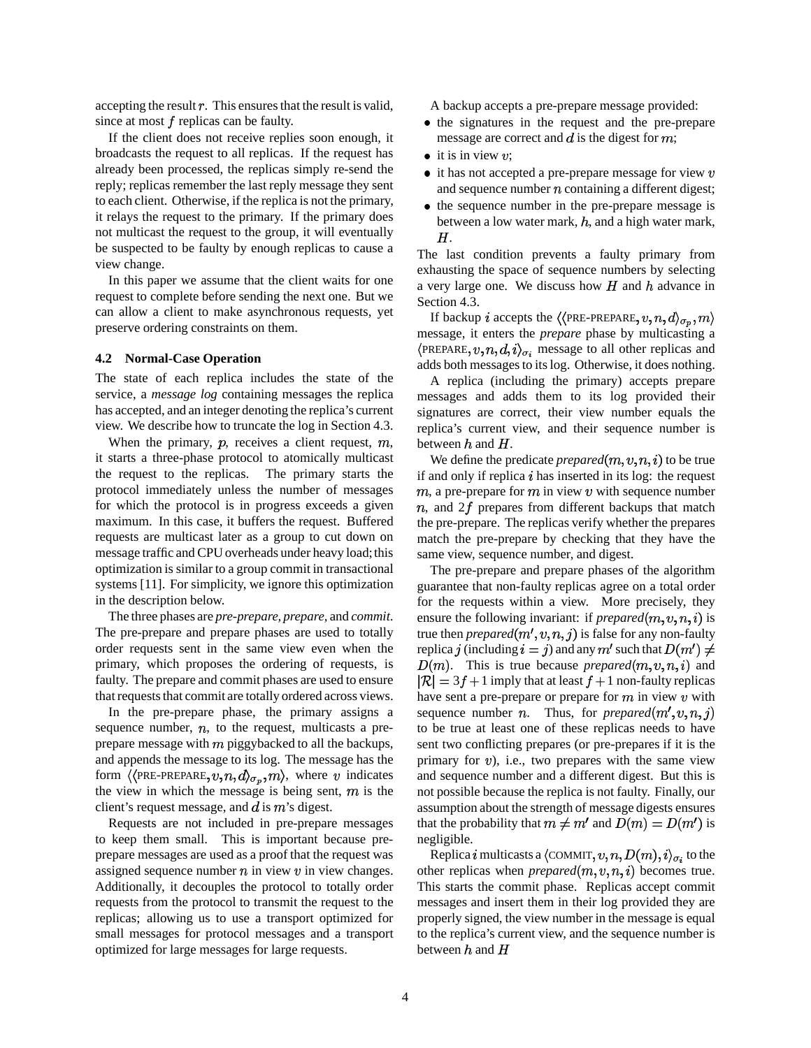accepting the result  $r$ . This ensures that the result is valid, since at most  $f$  replicas can be faulty.

If the client does not receive replies soon enough, it broadcasts the request to all replicas. If the request has already been processed, the replicas simply re-send the reply; replicas remember the last reply message they sent to each client. Otherwise, if the replica is not the primary, it relays the request to the primary. If the primary does not multicast the request to the group, it will eventually be suspected to be faulty by enough replicas to cause a view change.

In this paper we assume that the client waits for one request to complete before sending the next one. But we can allow a client to make asynchronous requests, yet preserve ordering constraints on them.

#### **4.2 Normal-Case Operation**

The state of each replica includes the state of the service, a *message log* containing messages the replica has accepted, and an integer denoting the replica's current view. We describe how to truncate the log in Section 4.3.

When the primary,  $p$ , receives a client request,  $m$ , it starts a three-phase protocol to atomically multicast the request to the replicas. The primary starts the protocol immediately unless the number of messages for which the protocol is in progress exceeds a given maximum. In this case, it buffers the request. Buffered requests are multicast later as a group to cut down on message traffic and CPU overheads under heavy load; this optimization is similar to a group commit in transactional systems [11]. For simplicity, we ignore this optimization in the description below.

The three phases are *pre-prepare, prepare,* and *commit*. The pre-prepare and prepare phases are used to totally order requests sent in the same view even when the primary, which proposes the ordering of requests, is faulty. The prepare and commit phases are used to ensure that requests that commit are totally ordered across views.

In the pre-prepare phase, the primary assigns a sequence number,  $n$ , to the request, multicasts a preprepare message with  $m$  piggybacked to all the backups, and appends the message to its log. The message has the form  $\langle \langle$ PRE-PREPARE,  $v, n, d \rangle_{\sigma_p}, m \rangle$ , where v indicates the view in which the message is being sent,  $m$  is the client's request message, and  $d$  is  $m$ 's digest.

Requests are not included in pre-prepare messages to keep them small. This is important because preprepare messages are used as a proof that the request was assigned sequence number  $n$  in view  $v$  in view changes. Additionally, it decouples the protocol to totally order requests from the protocol to transmit the request to the replicas; allowing us to use a transport optimized for small messages for protocol messages and a transport optimized for large messages for large requests.

A backup accepts a pre-prepare message provided:

- the signatures in the request and the pre-prepare message are correct and  $d$  is the digest for  $m$ ;
- $\bullet$  it is in view v:
- $\bullet$  it has not accepted a pre-prepare message for view  $v$ and sequence number  $n$  containing a different digest;
- the sequence number in the pre-prepare message is between a low water mark,  $h$ , and a high water mark,  $H.$

The last condition prevents a faulty primary from exhausting the space of sequence numbers by selecting a very large one. We discuss how  $H$  and  $h$  advance in Section 4.3.

If backup *i* accepts the  $\langle \langle$ PRE-PREPARE,  $v, n, d \rangle_{\sigma_p}, m \rangle$ message, it enters the *prepare* phase by multicasting a  $\langle$ PREPARE,  $v, n, d, i \rangle_{\sigma_i}$  message to all other replicas and adds both messages to its log. Otherwise, it does nothing.

A replica (including the primary) accepts prepare messages and adds them to its log provided their signatures are correct, their view number equals the replica's current view, and their sequence number is between  $h$  and  $H$ .

We define the predicate *prepared* $(m, v, n, i)$  to be true if and only if replica  $i$  has inserted in its log: the request  $m$ , a pre-prepare for  $m$  in view  $v$  with sequence number  $n$ , and  $2f$  prepares from different backups that match the pre-prepare. The replicas verify whether the prepares match the pre-prepare by checking that they have the same view, sequence number, and digest.

The pre-prepare and prepare phases of the algorithm guarantee that non-faulty replicas agree on a total order for the requests within a view. More precisely, they ensure the following invariant: if  $prepared(m, v, n, i)$  is true then *prepared* $(m', v, n, j)$  is false for any non-faulty replica j (including  $i = j$ ) and any m' such that  $D(m') \neq$  $D(m)$ . This is true because *prepared* $(m, v, n, i)$  and  $|\mathcal{R}| = 3f + 1$  imply that at least  $f + 1$  non-faulty replicas have sent a pre-prepare or prepare for  $m$  in view  $v$  with sequence number *n*. Thus, for *prepared* $(m', v, n, j)$ to be true at least one of these replicas needs to have sent two conflicting prepares (or pre-prepares if it is the primary for  $v$ ), i.e., two prepares with the same view and sequence number and a different digest. But this is not possible because the replica is not faulty. Finally, our assumption about the strength of message digests ensures that the probability that  $m \neq m'$  and  $D(m) = D(m')$  is negligible.

Replica *i* multicasts a  $\langle$  COMMIT,  $v, n, D(m), i \rangle_{\sigma_i}$  to the other replicas when *prepared* $(m, v, n, i)$  becomes true. This starts the commit phase. Replicas accept commit messages and insert them in their log provided they are properly signed, the view number in the message is equal to the replica's current view, and the sequence number is between  $h$  and  $H$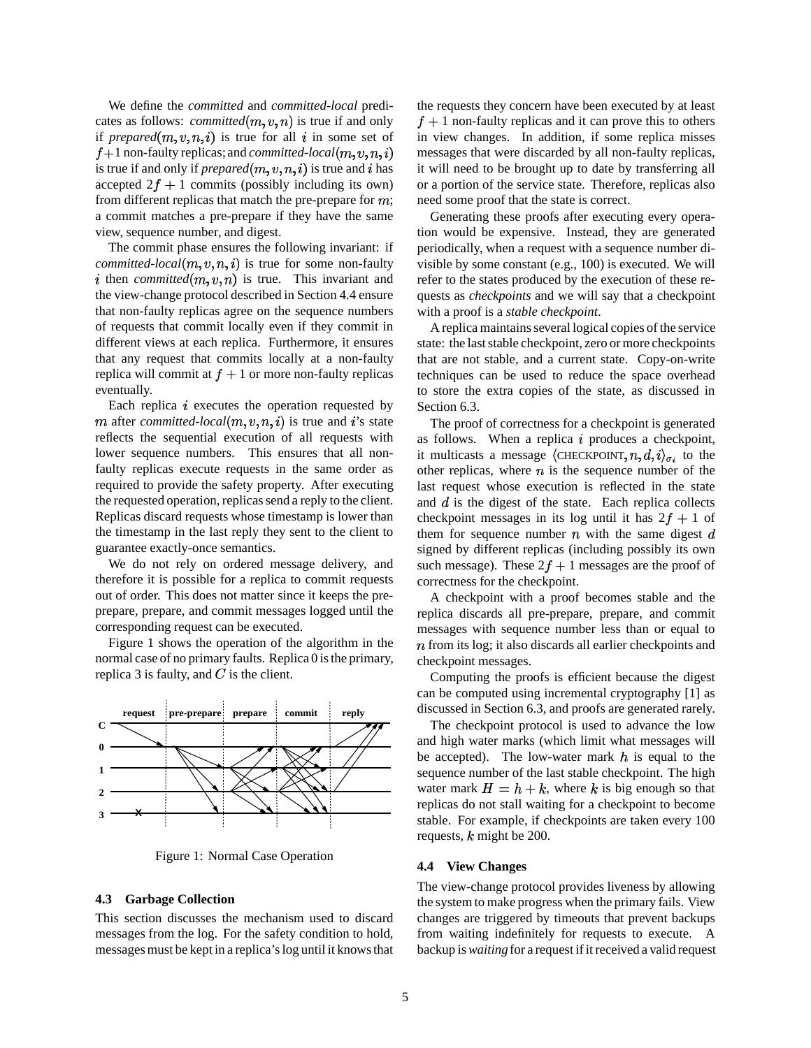We define the *committed* and *committed-local* predicates as follows: *committed* $(m, v, n)$  is true if and only if *prepared* $(m, v, n, i)$  is true for all i in some set of  $f+1$  non-faulty replicas; and *committed-local* $(m, v, n, i)$ is true if and only if *prepared* $(m, v, n, i)$  is true and i has accepted  $2f + 1$  commits (possibly including its own) from different replicas that match the pre-prepare for  $m$ ; a commit matches a pre-prepare if they have the same view, sequence number, and digest.

The commit phase ensures the following invariant: if *committed-local* $(m, v, n, i)$  is true for some non-faulty i then *committed* $(m, v, n)$  is true. This invariant and the view-change protocol described in Section 4.4 ensure that non-faulty replicas agree on the sequence numbers of requests that commit locally even if they commit in different views at each replica. Furthermore, it ensures that any request that commits locally at a non-faulty replica will commit at  $f + 1$  or more non-faulty replicas eventually.

Each replica  $i$  executes the operation requested by m after *committed-local* $(m, v, n, i)$  is true and *i*'s state reflects the sequential execution of all requests with lower sequence numbers. This ensures that all nonfaulty replicas execute requests in the same order as required to provide the safety property. After executing the requested operation, replicas send a reply to the client. Replicas discard requests whose timestamp is lower than the timestamp in the last reply they sent to the client to guarantee exactly-once semantics.

We do not rely on ordered message delivery, and therefore it is possible for a replica to commit requests out of order. This does not matter since it keeps the preprepare, prepare, and commit messages logged until the corresponding request can be executed.

Figure 1 shows the operation of the algorithm in the normal case of no primary faults. Replica 0 is the primary, replica 3 is faulty, and  $C$  is the client.



Figure 1: Normal Case Operation

#### **4.3 Garbage Collection**

This section discusses the mechanism used to discard messages from the log. For the safety condition to hold, messages must be kept in a replica's log until it knows that the requests they concern have been executed by at least  $f + 1$  non-faulty replicas and it can prove this to others in view changes. In addition, if some replica misses messages that were discarded by all non-faulty replicas, it will need to be brought up to date by transferring all or a portion of the service state. Therefore, replicas also need some proof that the state is correct.

Generating these proofs after executing every operation would be expensive. Instead, they are generated periodically, when a request with a sequence number divisible by some constant (e.g., 100) is executed. We will refer to the states produced by the execution of these requests as *checkpoints* and we will say that a checkpoint with a proof is a *stable checkpoint*.

A replica maintains several logical copies of the service state: the last stable checkpoint, zero or more checkpoints that are not stable, and a current state. Copy-on-write techniques can be used to reduce the space overhead to store the extra copies of the state, as discussed in Section 6.3.

The proof of correctness for a checkpoint is generated as follows. When a replica  $i$  produces a checkpoint, it multicasts a message  $\langle$ CHECKPOINT,  $n, d, i \rangle_{\sigma_i}$  to the other replicas, where  $n$  is the sequence number of the last request whose execution is reflected in the state and  $d$  is the digest of the state. Each replica collects checkpoint messages in its log until it has  $2f + 1$  of them for sequence number  $n$  with the same digest  $d$ signed by different replicas (including possibly its own such message). These  $2f + 1$  messages are the proof of correctness for the checkpoint.

A checkpoint with a proof becomes stable and the replica discards all pre-prepare, prepare, and commit messages with sequence number less than or equal to  $n$  from its log; it also discards all earlier checkpoints and checkpoint messages.

Computing the proofs is efficient because the digest can be computed using incremental cryptography [1] as discussed in Section 6.3, and proofs are generated rarely.

The checkpoint protocol is used to advance the low and high water marks (which limit what messages will be accepted). The low-water mark  $h$  is equal to the sequence number of the last stable checkpoint. The high water mark  $H = h + k$ , where k is big enough so that replicas do not stall waiting for a checkpoint to become stable. For example, if checkpoints are taken every 100 requests,  $k$  might be 200.

#### **4.4 View Changes**

The view-change protocol provides liveness by allowing the system to make progress when the primary fails. View changes are triggered by timeouts that prevent backups from waiting indefinitely for requests to execute. A backup is*waiting*for a requestifitreceived a valid request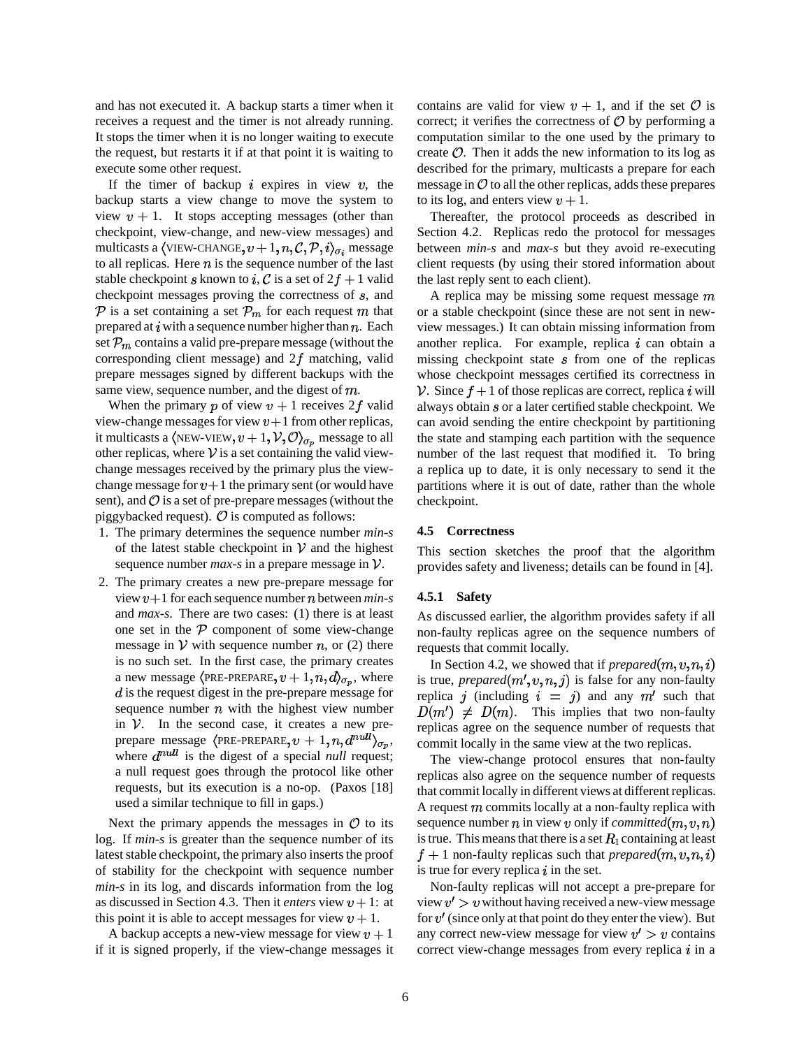and has not executed it. A backup starts a timer when it receives a request and the timer is not already running. It stops the timer when it is no longer waiting to execute the request, but restarts it if at that point it is waiting to execute some other request.

If the timer of backup i expires in view  $v$ , the backup starts a view change to move the system to view  $v + 1$ . It stops accepting messages (other than checkpoint, view-change, and new-view messages) and multicasts a  $\langle$ VIEW-CHANGE,  $v+1, n, C, \mathcal{P}, i \rangle_{\sigma_i}$  message to all replicas. Here  $n$  is the sequence number of the last stable checkpoint s known to i, C is a set of  $2f + 1$  valid checkpoint messages proving the correctness of  $s$ , and  $P$  is a set containing a set  $P_m$  for each request m that prepared at  $i$  with a sequence number higher than  $n$ . Each set  $P_m$  contains a valid pre-prepare message (without the corresponding client message) and  $2f$  matching, valid prepare messages signed by different backups with the same view, sequence number, and the digest of  $m$ .

When the primary p of view  $v + 1$  receives 2f valid view-change messages for view  $v+1$  from other replicas, it multicasts a  $\langle$ NEW-VIEW,  $v + 1, V, O \rangle_{\sigma_p}$  message to all other replicas, where  $\mathcal V$  is a set containing the valid viewchange messages received by the primary plus the viewchange message for  $v+1$  the primary sent (or would have sent), and  $\mathcal O$  is a set of pre-prepare messages (without the piggybacked request).  $\mathcal O$  is computed as follows:

- 1. The primary determines the sequence number *min-s* of the latest stable checkpoint in  $\mathcal V$  and the highest sequence number  $max-s$  in a prepare message in  $\mathcal{V}$ .
- 2. The primary creates a new pre-prepare message for view  $v+1$  for each sequence number  $n$  between  $min-s$ and *max-s*. There are two cases: (1) there is at least one set in the  $P$  component of some view-change message in  $V$  with sequence number n, or (2) there is no such set. In the first case, the primary creates a new message  $\langle$ PRE-PREPARE,  $v + 1, n, d \rangle_{\sigma_p}$ , where  $d$  is the request digest in the pre-prepare message for sequence number  $n$  with the highest view number in  $V$ . In the second case, it creates a new preprepare message  $\langle$ PRE-PREPARE,  $v + 1, n, d^{null} \rangle_{\sigma_p}$ , where  $d^{null}$  is the digest of a special *null* request; a null request goes through the protocol like other requests, but its execution is a no-op. (Paxos [18] used a similar technique to fill in gaps.)

Next the primary appends the messages in  $\mathcal O$  to its log. If *min-s* is greater than the sequence number of its latest stable checkpoint, the primary also inserts the proof of stability for the checkpoint with sequence number *min-s* in its log, and discards information from the log as discussed in Section 4.3. Then it *enters* view  $v + 1$ : at this point it is able to accept messages for view  $v + 1$ .

A backup accepts a new-view message for view  $v + 1$ if it is signed properly, if the view-change messages it contains are valid for view  $v + 1$ , and if the set  $\mathcal O$  is correct; it verifies the correctness of  $\mathcal O$  by performing a computation similar to the one used by the primary to create  $\mathcal{O}$ . Then it adds the new information to its log as described for the primary, multicasts a prepare for each message in  $\mathcal O$  to all the other replicas, adds these prepares to its log, and enters view  $v + 1$ .

Thereafter, the protocol proceeds as described in Section 4.2. Replicas redo the protocol for messages between *min-s* and *max-s* but they avoid re-executing client requests (by using their stored information about the last reply sent to each client).

A replica may be missing some request message  $m$ or a stable checkpoint (since these are not sent in newview messages.) It can obtain missing information from another replica. For example, replica  $i$  can obtain a missing checkpoint state  $s$  from one of the replicas whose checkpoint messages certified its correctness in  $V$ . Since  $f + 1$  of those replicas are correct, replica i will always obtain  $s$  or a later certified stable checkpoint. We can avoid sending the entire checkpoint by partitioning the state and stamping each partition with the sequence number of the last request that modified it. To bring a replica up to date, it is only necessary to send it the partitions where it is out of date, rather than the whole checkpoint.

## **4.5 Correctness**

This section sketches the proof that the algorithm provides safety and liveness; details can be found in [4].

#### **4.5.1 Safety**

As discussed earlier, the algorithm provides safety if all non-faulty replicas agree on the sequence numbers of requests that commit locally.

In Section 4.2, we showed that if  $prepared(m, v, n, i)$ is true, *prepared* $(m', v, n, j)$  is false for any non-faulty replica j (including  $i = j$ ) and any m' such that  $D(m') \neq D(m)$ . This implies that two non-faulty replicas agree on the sequence number of requests that commit locally in the same view at the two replicas.

The view-change protocol ensures that non-faulty replicas also agree on the sequence number of requests that commit locally in different views at different replicas. A request  $m$  commits locally at a non-faulty replica with sequence number *n* in view *v* only if *committed* $(m, v, n)$ is true. This means that there is a set  $R_1$  containing at least  $f + 1$  non-faulty replicas such that *prepared* $(m, v, n, i)$ is true for every replica  $i$  in the set.

Non-faulty replicas will not accept a pre-prepare for view  $v' > v$  without having received a new-view message for  $v'$  (since only at that point do they enter the view). But any correct new-view message for view  $v' > v$  contains correct view-change messages from every replica  $i$  in a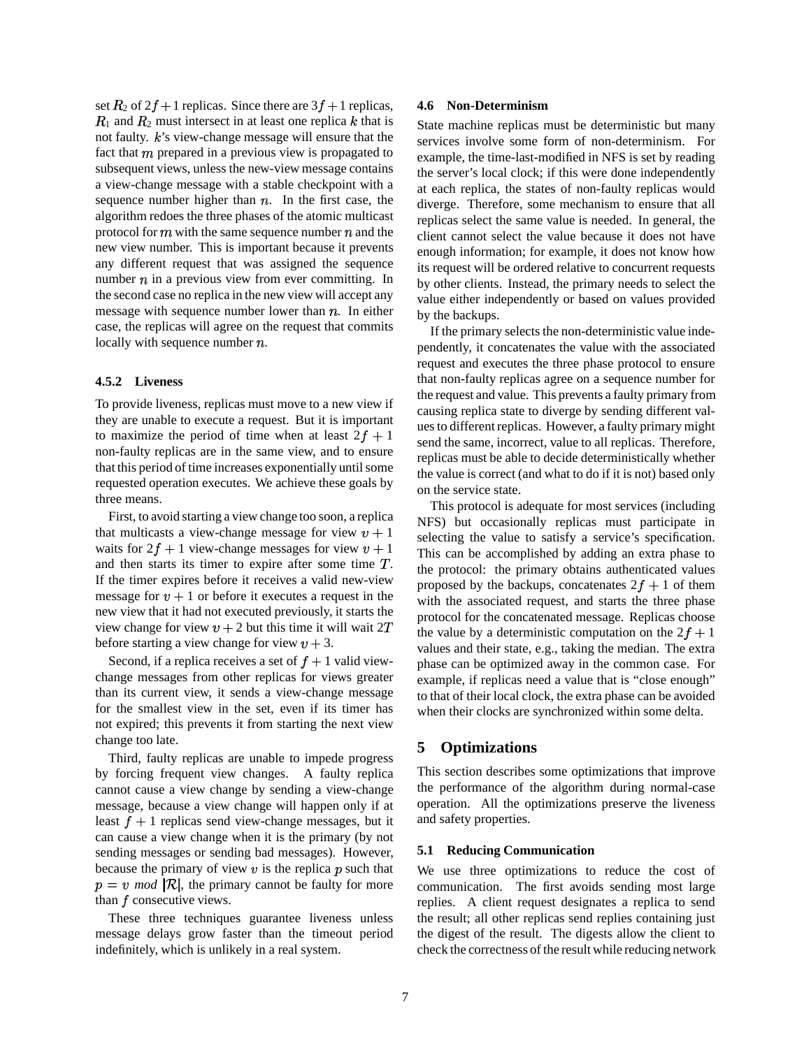set  $R_2$  of  $2f + 1$  replicas. Since there are  $3f + 1$  replicas,  $R_1$  and  $R_2$  must intersect in at least one replica k that is not faulty.  $k$ 's view-change message will ensure that the fact that  $m$  prepared in a previous view is propagated to subsequent views, unless the new-view message contains a view-change message with a stable checkpoint with a sequence number higher than  $n$ . In the first case, the algorithm redoes the three phases of the atomic multicast protocol for  $m$  with the same sequence number  $n$  and the new view number. This is important because it prevents any different request that was assigned the sequence number  $n$  in a previous view from ever committing. In the second case no replica in the new view will accept any message with sequence number lower than  $n$ . In either case, the replicas will agree on the request that commits locally with sequence number  $n$ .

## **4.5.2 Liveness**

To provide liveness, replicas must move to a new view if they are unable to execute a request. But it is important to maximize the period of time when at least  $2f + 1$ non-faulty replicas are in the same view, and to ensure that this period of time increases exponentially until some requested operation executes. We achieve these goals by three means.

First, to avoid starting a view change too soon, a replica that multicasts a view-change message for view  $v + 1$ waits for  $2f + 1$  view-change messages for view  $v + 1$ and then starts its timer to expire after some time  $T$ . If the timer expires before it receives a valid new-view message for  $v + 1$  or before it executes a request in the new view that it had not executed previously, it starts the view change for view  $v + 2$  but this time it will wait  $2T$ before starting a view change for view  $v + 3$ .

Second, if a replica receives a set of  $f + 1$  valid viewchange messages from other replicas for views greater than its current view, it sends a view-change message for the smallest view in the set, even if its timer has not expired; this prevents it from starting the next view change too late.

Third, faulty replicas are unable to impede progress by forcing frequent view changes. A faulty replica cannot cause a view change by sending a view-change message, because a view change will happen only if at least  $f + 1$  replicas send view-change messages, but it can cause a view change when it is the primary (by not sending messages or sending bad messages). However, because the primary of view  $v$  is the replica  $p$  such that  $p = v \mod |\mathcal{R}|$ , the primary cannot be faulty for more than  $f$  consecutive views.

These three techniques guarantee liveness unless message delays grow faster than the timeout period indefinitely, which is unlikely in a real system.

### **4.6 Non-Determinism**

State machine replicas must be deterministic but many services involve some form of non-determinism. For example, the time-last-modified in NFS is set by reading the server's local clock; if this were done independently at each replica, the states of non-faulty replicas would diverge. Therefore, some mechanism to ensure that all replicas select the same value is needed. In general, the client cannot select the value because it does not have enough information; for example, it does not know how its request will be ordered relative to concurrent requests by other clients. Instead, the primary needs to select the value either independently or based on values provided by the backups.

If the primary selects the non-deterministic value independently, it concatenates the value with the associated request and executes the three phase protocol to ensure that non-faulty replicas agree on a sequence number for the request and value. This prevents a faulty primary from causing replica state to diverge by sending different values to different replicas. However, a faulty primary might send the same, incorrect, value to all replicas. Therefore, replicas must be able to decide deterministically whether the value is correct (and what to do if it is not) based only on the service state.

This protocol is adequate for most services (including NFS) but occasionally replicas must participate in selecting the value to satisfy a service's specification. This can be accomplished by adding an extra phase to the protocol: the primary obtains authenticated values proposed by the backups, concatenates  $2f + 1$  of them with the associated request, and starts the three phase protocol for the concatenated message. Replicas choose the value by a deterministic computation on the  $2f + 1$ values and their state, e.g., taking the median. The extra phase can be optimized away in the common case. For example, if replicas need a value that is "close enough" to that of their local clock, the extra phase can be avoided when their clocks are synchronized within some delta.

## **5 Optimizations**

This section describes some optimizations that improve the performance of the algorithm during normal-case operation. All the optimizations preserve the liveness and safety properties.

### **5.1 Reducing Communication**

We use three optimizations to reduce the cost of communication. The first avoids sending most large replies. A client request designates a replica to send the result; all other replicas send replies containing just the digest of the result. The digests allow the client to check the correctness of the result while reducing network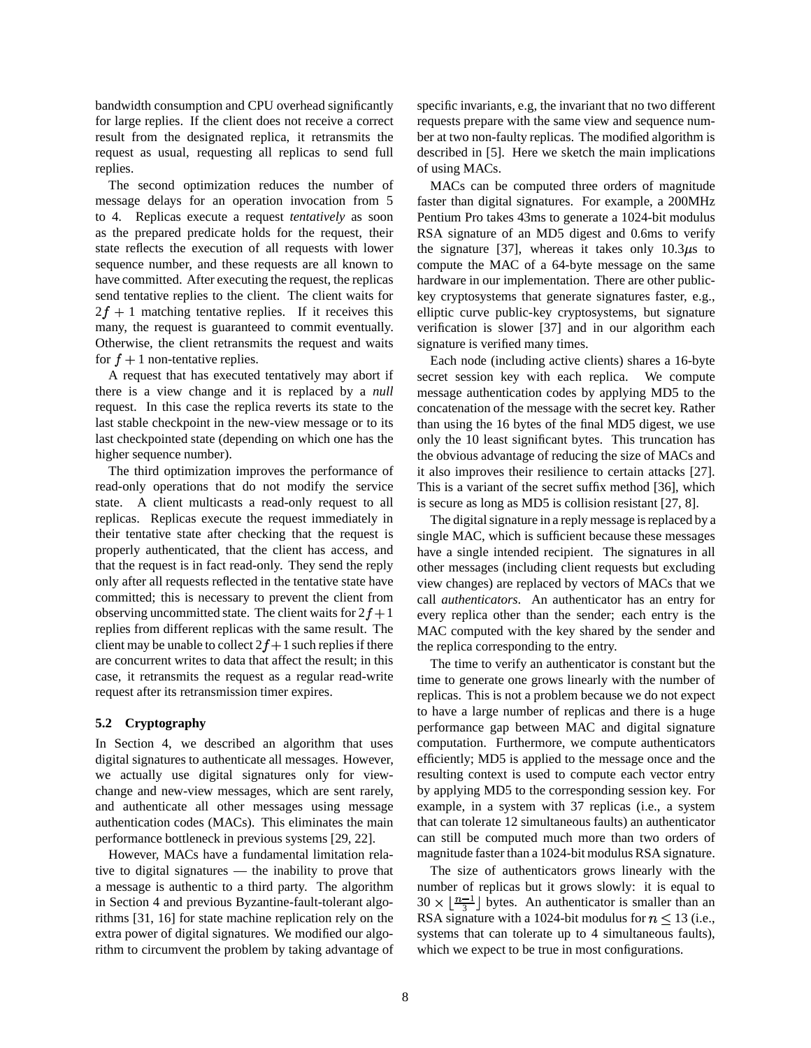bandwidth consumption and CPU overhead significantly for large replies. If the client does not receive a correct result from the designated replica, it retransmits the request as usual, requesting all replicas to send full replies.

The second optimization reduces the number of message delays for an operation invocation from 5 to 4. Replicas execute a request *tentatively* as soon as the prepared predicate holds for the request, their state reflects the execution of all requests with lower sequence number, and these requests are all known to have committed. After executing the request, the replicas send tentative replies to the client. The client waits for  $2f + 1$  matching tentative replies. If it receives this many, the request is guaranteed to commit eventually. Otherwise, the client retransmits the request and waits for  $f + 1$  non-tentative replies.

A request that has executed tentatively may abort if there is a view change and it is replaced by a *null* request. In this case the replica reverts its state to the last stable checkpoint in the new-view message or to its last checkpointed state (depending on which one has the higher sequence number).

The third optimization improves the performance of read-only operations that do not modify the service state. A client multicasts a read-only request to all replicas. Replicas execute the request immediately in their tentative state after checking that the request is properly authenticated, that the client has access, and that the request is in fact read-only. They send the reply only after all requests reflected in the tentative state have committed; this is necessary to prevent the client from observing uncommitted state. The client waits for  $2f + 1$ replies from different replicas with the same result. The client may be unable to collect  $2f + 1$  such replies if there are concurrent writes to data that affect the result; in this case, it retransmits the request as a regular read-write request after its retransmission timer expires.

### **5.2 Cryptography**

In Section 4, we described an algorithm that uses digital signatures to authenticate all messages. However, we actually use digital signatures only for viewchange and new-view messages, which are sent rarely, and authenticate all other messages using message authentication codes (MACs). This eliminates the main performance bottleneck in previous systems [29, 22].

However, MACs have a fundamental limitation relative to digital signatures — the inability to prove that a message is authentic to a third party. The algorithm in Section 4 and previous Byzantine-fault-tolerant algorithms [31, 16] for state machine replication rely on the extra power of digital signatures. We modified our algorithm to circumvent the problem by taking advantage of specific invariants, e.g, the invariant that no two different requests prepare with the same view and sequence number at two non-faulty replicas. The modified algorithm is described in [5]. Here we sketch the main implications of using MACs.

MACs can be computed three orders of magnitude faster than digital signatures. For example, a 200MHz Pentium Pro takes 43ms to generate a 1024-bit modulus RSA signature of an MD5 digest and 0.6ms to verify the signature [37], whereas it takes only  $10.3 \mu s$  to compute the MAC of a 64-byte message on the same hardware in our implementation. There are other publickey cryptosystems that generate signatures faster, e.g., elliptic curve public-key cryptosystems, but signature verification is slower [37] and in our algorithm each signature is verified many times.

Each node (including active clients) shares a 16-byte secret session key with each replica. We compute message authentication codes by applying MD5 to the concatenation of the message with the secret key. Rather than using the 16 bytes of the final MD5 digest, we use only the 10 least significant bytes. This truncation has the obvious advantage of reducing the size of MACs and it also improves their resilience to certain attacks [27]. This is a variant of the secret suffix method [36], which is secure as long as MD5 is collision resistant [27, 8].

The digital signature in a reply message is replaced by a single MAC, which is sufficient because these messages have a single intended recipient. The signatures in all other messages (including client requests but excluding view changes) are replaced by vectors of MACs that we call *authenticators*. An authenticator has an entry for every replica other than the sender; each entry is the MAC computed with the key shared by the sender and the replica corresponding to the entry.

The time to verify an authenticator is constant but the time to generate one grows linearly with the number of replicas. This is not a problem because we do not expect to have a large number of replicas and there is a huge performance gap between MAC and digital signature computation. Furthermore, we compute authenticators efficiently; MD5 is applied to the message once and the resulting context is used to compute each vector entry by applying MD5 to the corresponding session key. For example, in a system with 37 replicas (i.e., a system that can tolerate 12 simultaneous faults) an authenticator can still be computed much more than two orders of magnitude faster than a 1024-bit modulus RSA signature.

The size of authenticators grows linearly with the number of replicas but it grows slowly: it is equal to  $30 \times \left\lfloor \frac{n-1}{3} \right\rfloor$  bytes. An authenticator is smaller than an RSA signature with a 1024-bit modulus for  $n \leq 13$  (i.e., systems that can tolerate up to 4 simultaneous faults), which we expect to be true in most configurations.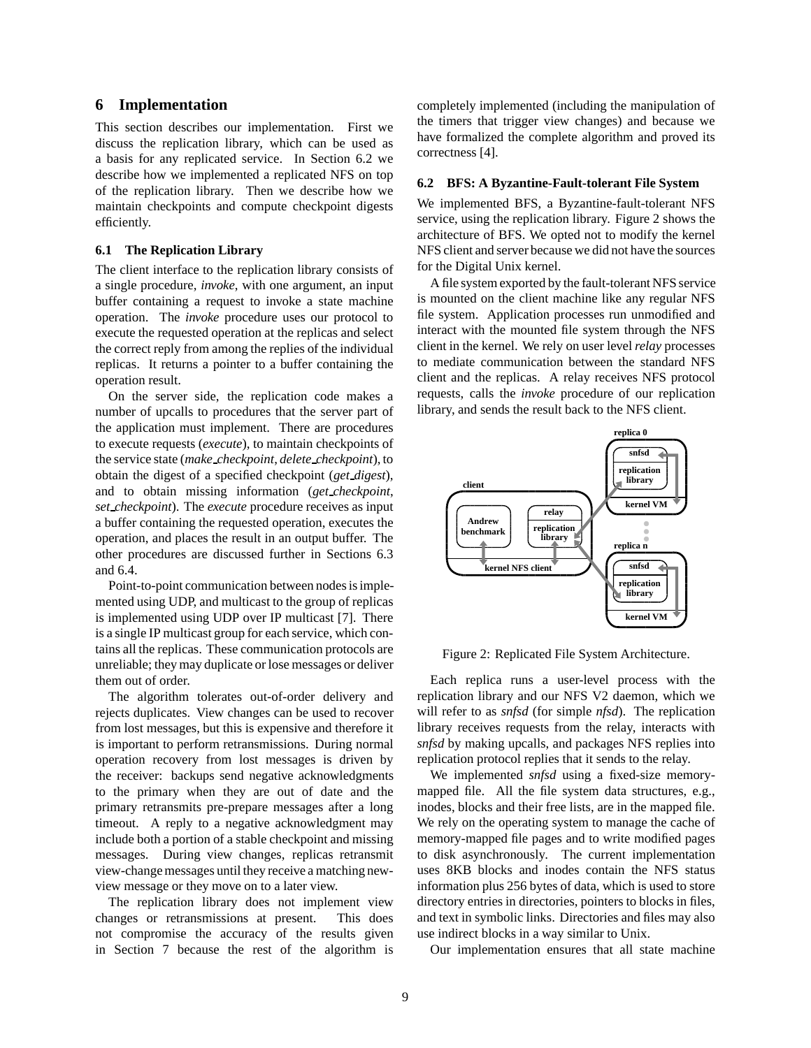# **6 Implementation**

This section describes our implementation. First we discuss the replication library, which can be used as a basis for any replicated service. In Section 6.2 we describe how we implemented a replicated NFS on top of the replication library. Then we describe how we maintain checkpoints and compute checkpoint digests efficiently.

#### **6.1 The Replication Library**

The client interface to the replication library consists of a single procedure, *invoke*, with one argument, an input buffer containing a request to invoke a state machine operation. The *invoke* procedure uses our protocol to execute the requested operation at the replicas and select the correct reply from among the replies of the individual replicas. It returns a pointer to a buffer containing the operation result.

On the server side, the replication code makes a number of upcalls to procedures that the server part of the application must implement. There are procedures to execute requests (*execute*), to maintain checkpoints of the service state (*make checkpoint*, *delete checkpoint*),to obtain the digest of a specified checkpoint (*get digest*), and to obtain missing information (*get checkpoint*, *set checkpoint*). The *execute* procedure receives as input a buffer containing the requested operation, executes the operation, and places the result in an output buffer. The other procedures are discussed further in Sections 6.3 and 6.4.

Point-to-point communication between nodes is implemented using UDP, and multicast to the group of replicas is implemented using UDP over IP multicast [7]. There is a single IP multicast group for each service, which contains all the replicas. These communication protocols are unreliable; they may duplicate or lose messages or deliver them out of order.

The algorithm tolerates out-of-order delivery and rejects duplicates. View changes can be used to recover from lost messages, but this is expensive and therefore it is important to perform retransmissions. During normal operation recovery from lost messages is driven by the receiver: backups send negative acknowledgments to the primary when they are out of date and the primary retransmits pre-prepare messages after a long timeout. A reply to a negative acknowledgment may include both a portion of a stable checkpoint and missing messages. During view changes, replicas retransmit view-change messages until they receive a matching newview message or they move on to a later view.

The replication library does not implement view changes or retransmissions at present. This does not compromise the accuracy of the results given in Section 7 because the rest of the algorithm is completely implemented (including the manipulation of the timers that trigger view changes) and because we have formalized the complete algorithm and proved its correctness [4].

### **6.2 BFS: A Byzantine-Fault-tolerant File System**

We implemented BFS, a Byzantine-fault-tolerant NFS service, using the replication library. Figure 2 shows the architecture of BFS. We opted not to modify the kernel NFSclient and server because we did not have the sources for the Digital Unix kernel.

A file system exported by the fault-tolerant NFS service is mounted on the client machine like any regular NFS file system. Application processes run unmodified and interact with the mounted file system through the NFS client in the kernel. We rely on user level *relay* processes to mediate communication between the standard NFS client and the replicas. A relay receives NFS protocol requests, calls the *invoke* procedure of our replication library, and sends the result back to the NFS client.



Figure 2: Replicated File System Architecture.

Each replica runs a user-level process with the replication library and our NFS V2 daemon, which we will refer to as *snfsd* (for simple *nfsd*). The replication library receives requests from the relay, interacts with *snfsd* by making upcalls, and packages NFS replies into replication protocol replies that it sends to the relay.

We implemented *snfsd* using a fixed-size memorymapped file. All the file system data structures, e.g., inodes, blocks and their free lists, are in the mapped file. We rely on the operating system to manage the cache of memory-mapped file pages and to write modified pages to disk asynchronously. The current implementation uses 8KB blocks and inodes contain the NFS status information plus 256 bytes of data, which is used to store directory entries in directories, pointers to blocks in files, and text in symbolic links. Directories and files may also use indirect blocks in a way similar to Unix.

Our implementation ensures that all state machine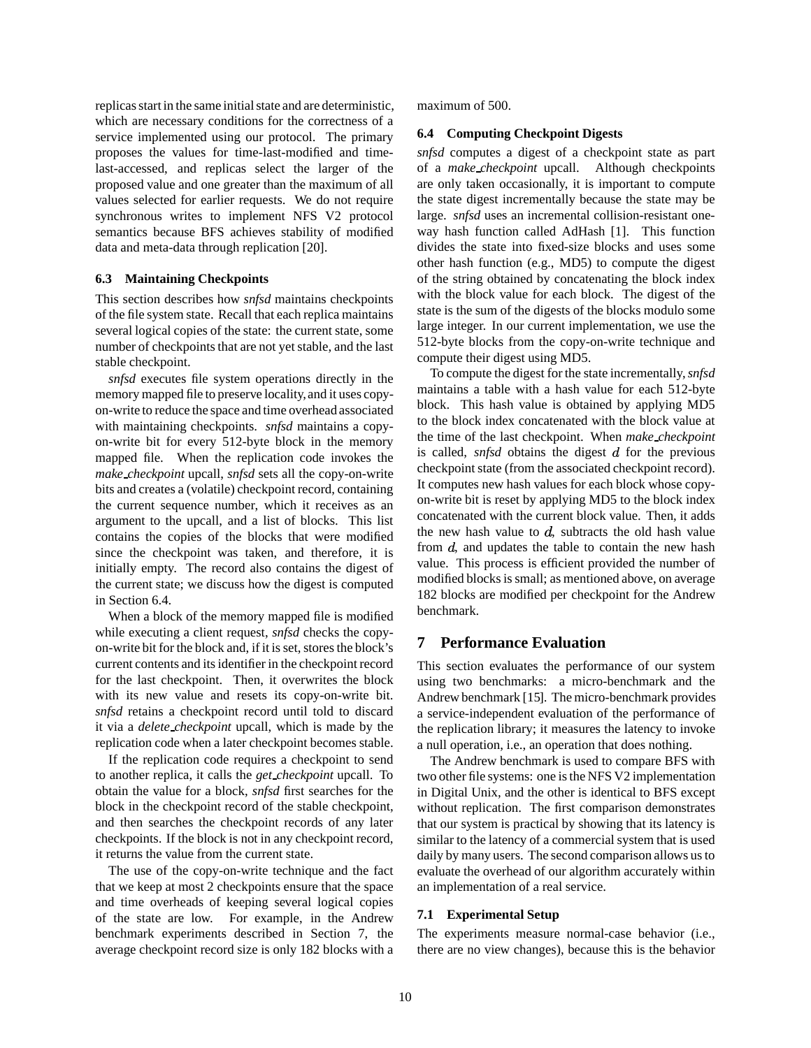replicas start in the same initial state and are deterministic, which are necessary conditions for the correctness of a service implemented using our protocol. The primary proposes the values for time-last-modified and timelast-accessed, and replicas select the larger of the proposed value and one greater than the maximum of all values selected for earlier requests. We do not require synchronous writes to implement NFS V2 protocol semantics because BFS achieves stability of modified data and meta-data through replication [20].

## **6.3 Maintaining Checkpoints**

This section describes how *snfsd* maintains checkpoints of the file system state. Recall that each replica maintains several logical copies of the state: the current state, some number of checkpoints that are not yet stable, and the last stable checkpoint.

*snfsd* executes file system operations directly in the memory mapped file to preserve locality, and it uses copyon-write to reduce the space and time overhead associated with maintaining checkpoints. *snfsd* maintains a copyon-write bit for every 512-byte block in the memory mapped file. When the replication code invokes the *make checkpoint* upcall, *snfsd* sets all the copy-on-write bits and creates a (volatile) checkpoint record, containing the current sequence number, which it receives as an argument to the upcall, and a list of blocks. This list contains the copies of the blocks that were modified since the checkpoint was taken, and therefore, it is initially empty. The record also contains the digest of the current state; we discuss how the digest is computed in Section 6.4.

When a block of the memory mapped file is modified while executing a client request, *snfsd* checks the copyon-write bit for the block and, if it is set, stores the block's current contents and itsidentifier in the checkpoint record for the last checkpoint. Then, it overwrites the block with its new value and resets its copy-on-write bit. *snfsd* retains a checkpoint record until told to discard it via a *delete checkpoint* upcall, which is made by the replication code when a later checkpoint becomes stable.

If the replication code requires a checkpoint to send to another replica, it calls the *get checkpoint* upcall. To obtain the value for a block, *snfsd* first searches for the block in the checkpoint record of the stable checkpoint, and then searches the checkpoint records of any later checkpoints. If the block is not in any checkpoint record, it returns the value from the current state.

The use of the copy-on-write technique and the fact that we keep at most 2 checkpoints ensure that the space and time overheads of keeping several logical copies of the state are low. For example, in the Andrew benchmark experiments described in Section 7, the average checkpoint record size is only 182 blocks with a maximum of 500.

### **6.4 Computing Checkpoint Digests**

*snfsd* computes a digest of a checkpoint state as part of a *make checkpoint* upcall. Although checkpoints are only taken occasionally, it is important to compute the state digest incrementally because the state may be large. *snfsd* uses an incremental collision-resistant oneway hash function called AdHash [1]. This function divides the state into fixed-size blocks and uses some other hash function (e.g., MD5) to compute the digest of the string obtained by concatenating the block index with the block value for each block. The digest of the state is the sum of the digests of the blocks modulo some large integer. In our current implementation, we use the 512-byte blocks from the copy-on-write technique and compute their digest using MD5.

To compute the digest for the state incrementally,*snfsd* maintains a table with a hash value for each 512-byte block. This hash value is obtained by applying MD5 to the block index concatenated with the block value at the time of the last checkpoint. When *make checkpoint* is called,  $snfsd$  obtains the digest  $d$  for the previous checkpoint state (from the associated checkpoint record). It computes new hash values for each block whose copyon-write bit is reset by applying MD5 to the block index concatenated with the current block value. Then, it adds the new hash value to  $d$ , subtracts the old hash value from  $d$ , and updates the table to contain the new hash value. This process is efficient provided the number of modified blocks is small; as mentioned above, on average 182 blocks are modified per checkpoint for the Andrew benchmark.

# **7 Performance Evaluation**

This section evaluates the performance of our system using two benchmarks: a micro-benchmark and the Andrew benchmark [15]. The micro-benchmark provides a service-independent evaluation of the performance of the replication library; it measures the latency to invoke a null operation, i.e., an operation that does nothing.

The Andrew benchmark is used to compare BFS with two other file systems: one is the NFS V2 implementation in Digital Unix, and the other is identical to BFS except without replication. The first comparison demonstrates that our system is practical by showing that its latency is similar to the latency of a commercial system that is used daily by many users. The second comparison allows usto evaluate the overhead of our algorithm accurately within an implementation of a real service.

## **7.1 Experimental Setup**

The experiments measure normal-case behavior (i.e., there are no view changes), because this is the behavior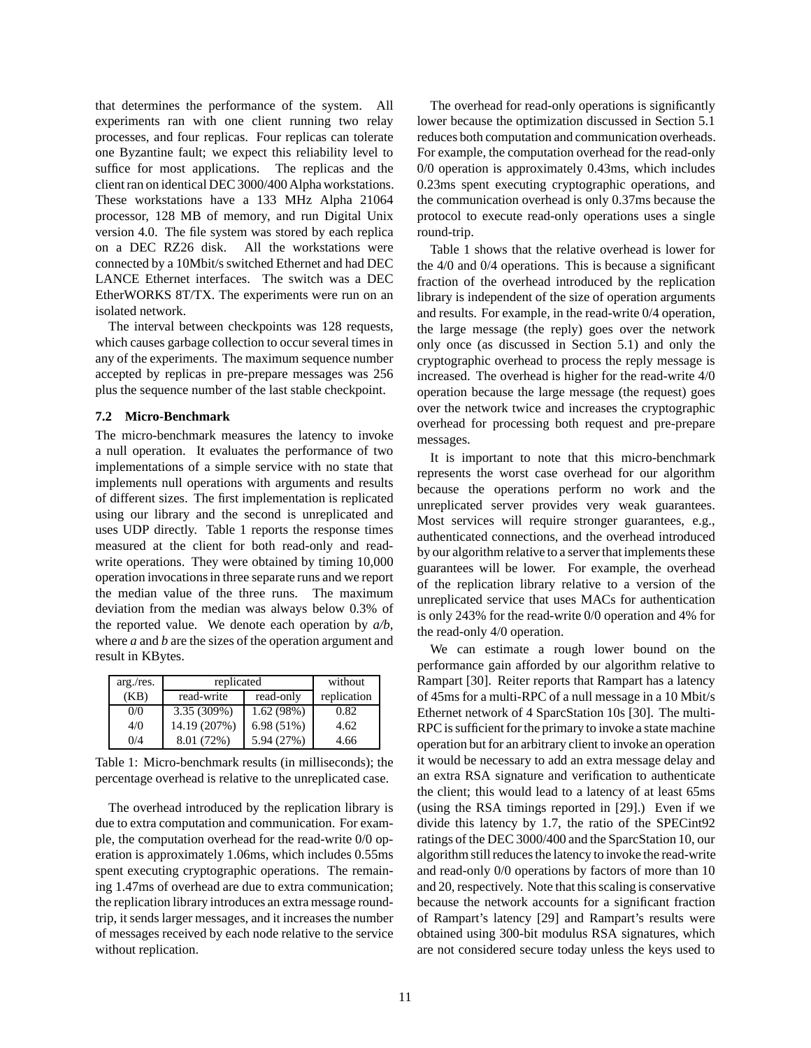that determines the performance of the system. All experiments ran with one client running two relay processes, and four replicas. Four replicas can tolerate one Byzantine fault; we expect this reliability level to suffice for most applications. The replicas and the client ran on identical DEC 3000/400 Alpha workstations. These workstations have a 133 MHz Alpha 21064 processor, 128 MB of memory, and run Digital Unix version 4.0. The file system was stored by each replica on a DEC RZ26 disk. All the workstations were connected by a 10Mbit/s switched Ethernet and had DEC LANCE Ethernet interfaces. The switch was a DEC EtherWORKS 8T/TX. The experiments were run on an isolated network.

The interval between checkpoints was 128 requests, which causes garbage collection to occur several times in any of the experiments. The maximum sequence number accepted by replicas in pre-prepare messages was 256 plus the sequence number of the last stable checkpoint.

## **7.2 Micro-Benchmark**

The micro-benchmark measures the latency to invoke a null operation. It evaluates the performance of two implementations of a simple service with no state that implements null operations with arguments and results of different sizes. The first implementation is replicated using our library and the second is unreplicated and uses UDP directly. Table 1 reports the response times measured at the client for both read-only and readwrite operations. They were obtained by timing 10,000 operation invocationsin three separate runs and we report the median value of the three runs. The maximum deviation from the median was always below 0.3% of the reported value. We denote each operation by *a/b*, where *a* and *b* are the sizes of the operation argument and result in KBytes.

| arg./res. | replicated   |            | without     |
|-----------|--------------|------------|-------------|
| (KB)      | read-write   | read-only  | replication |
| 0/0       | 3.35(309%)   | 1.62(98%)  | 0.82        |
| 4/0       | 14.19 (207%) | 6.98(51%)  | 4.62        |
| 0/4       | 8.01 (72%)   | 5.94 (27%) | 4.66        |

Table 1: Micro-benchmark results (in milliseconds); the percentage overhead is relative to the unreplicated case.

The overhead introduced by the replication library is due to extra computation and communication. For example, the computation overhead for the read-write 0/0 operation is approximately 1.06ms, which includes 0.55ms spent executing cryptographic operations. The remaining 1.47ms of overhead are due to extra communication; the replication library introduces an extra message roundtrip, it sends larger messages, and itincreases the number of messages received by each node relative to the service without replication.

The overhead for read-only operations is significantly lower because the optimization discussed in Section 5.1 reduces both computation and communication overheads. For example, the computation overhead for the read-only 0/0 operation is approximately 0.43ms, which includes 0.23ms spent executing cryptographic operations, and the communication overhead is only 0.37ms because the protocol to execute read-only operations uses a single round-trip.

Table 1 shows that the relative overhead is lower for the 4/0 and 0/4 operations. This is because a significant fraction of the overhead introduced by the replication library is independent of the size of operation arguments and results. For example, in the read-write 0/4 operation, the large message (the reply) goes over the network only once (as discussed in Section 5.1) and only the cryptographic overhead to process the reply message is increased. The overhead is higher for the read-write 4/0 operation because the large message (the request) goes over the network twice and increases the cryptographic overhead for processing both request and pre-prepare messages.

It is important to note that this micro-benchmark represents the worst case overhead for our algorithm because the operations perform no work and the unreplicated server provides very weak guarantees. Most services will require stronger guarantees, e.g., authenticated connections, and the overhead introduced by our algorithm relative to a server that implements these guarantees will be lower. For example, the overhead of the replication library relative to a version of the unreplicated service that uses MACs for authentication is only 243% for the read-write 0/0 operation and 4% for the read-only 4/0 operation.

We can estimate a rough lower bound on the performance gain afforded by our algorithm relative to Rampart [30]. Reiter reports that Rampart has a latency of 45ms for a multi-RPC of a null message in a 10 Mbit/s Ethernet network of 4 SparcStation 10s [30]. The multi-RPC is sufficient for the primary to invoke a state machine operation but for an arbitrary client to invoke an operation it would be necessary to add an extra message delay and an extra RSA signature and verification to authenticate the client; this would lead to a latency of at least 65ms (using the RSA timings reported in [29].) Even if we divide this latency by 1.7, the ratio of the SPECint92 ratings of the DEC 3000/400 and the SparcStation 10, our algorithm still reduces the latency to invoke the read-write and read-only 0/0 operations by factors of more than 10 and 20, respectively. Note that this scaling is conservative because the network accounts for a significant fraction of Rampart's latency [29] and Rampart's results were obtained using 300-bit modulus RSA signatures, which are not considered secure today unless the keys used to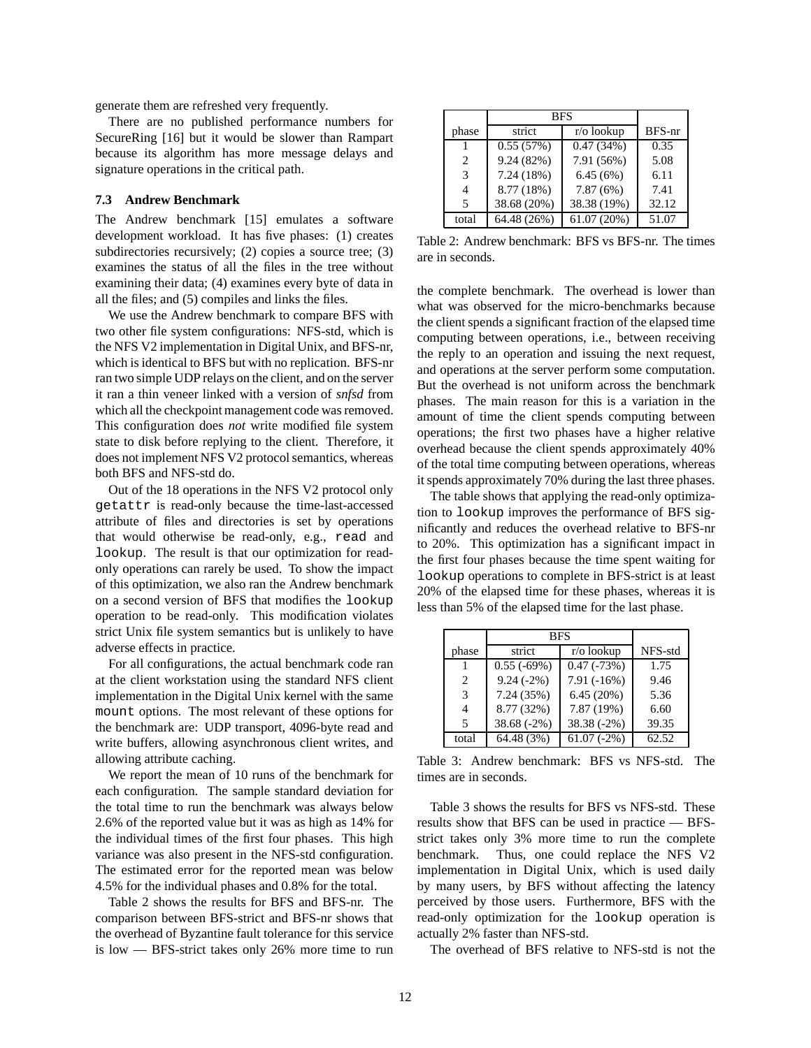generate them are refreshed very frequently.

There are no published performance numbers for SecureRing [16] but it would be slower than Rampart because its algorithm has more message delays and signature operations in the critical path.

## **7.3 Andrew Benchmark**

The Andrew benchmark [15] emulates a software development workload. It has five phases: (1) creates subdirectories recursively; (2) copies a source tree; (3) examines the status of all the files in the tree without examining their data; (4) examines every byte of data in all the files; and (5) compiles and links the files.

We use the Andrew benchmark to compare BFS with two other file system configurations: NFS-std, which is the NFS V2 implementation in Digital Unix, and BFS-nr, which is identical to BFS but with no replication. BFS-nr ran two simple UDPrelays on the client, and on the server it ran a thin veneer linked with a version of *snfsd* from which all the checkpoint management code was removed. This configuration does *not* write modified file system state to disk before replying to the client. Therefore, it does not implement NFS V2 protocol semantics, whereas both BFS and NFS-std do.

Out of the 18 operations in the NFS V2 protocol only getattr is read-only because the time-last-accessed attribute of files and directories is set by operations that would otherwise be read-only, e.g., read and lookup. The result is that our optimization for readonly operations can rarely be used. To show the impact of this optimization, we also ran the Andrew benchmark on a second version of BFS that modifies the lookup operation to be read-only. This modification violates strict Unix file system semantics but is unlikely to have adverse effects in practice.

For all configurations, the actual benchmark code ran at the client workstation using the standard NFS client implementation in the Digital Unix kernel with the same mount options. The most relevant of these options for the benchmark are: UDP transport, 4096-byte read and write buffers, allowing asynchronous client writes, and allowing attribute caching.

We report the mean of 10 runs of the benchmark for each configuration. The sample standard deviation for the total time to run the benchmark was always below 2.6% of the reported value but it was as high as 14% for the individual times of the first four phases. This high variance was also present in the NFS-std configuration. The estimated error for the reported mean was below 4.5% for the individual phases and 0.8% for the total.

Table 2 shows the results for BFS and BFS-nr. The comparison between BFS-strict and BFS-nr shows that the overhead of Byzantine fault tolerance for this service is low — BFS-strict takes only 26% more time to run

|                | <b>BFS</b>  |               |        |
|----------------|-------------|---------------|--------|
| phase          | strict      | $r$ /o lookup | BFS-nr |
|                | 0.55(57%)   | 0.47(34%)     | 0.35   |
| $\mathfrak{D}$ | 9.24(82%)   | 7.91 (56%)    | 5.08   |
| 3              | 7.24(18%)   | 6.45(6%)      | 6.11   |
| 4              | 8.77 (18%)  | 7.87(6%)      | 7.41   |
| 5              | 38.68 (20%) | 38.38 (19%)   | 32.12  |
| total          | 64.48 (26%) | 61.07(20%)    | 51.07  |

Table 2: Andrew benchmark: BFS vs BFS-nr. The times are in seconds.

the complete benchmark. The overhead is lower than what was observed for the micro-benchmarks because the client spends a significant fraction of the elapsed time computing between operations, i.e., between receiving the reply to an operation and issuing the next request, and operations at the server perform some computation. But the overhead is not uniform across the benchmark phases. The main reason for this is a variation in the amount of time the client spends computing between operations; the first two phases have a higher relative overhead because the client spends approximately 40% of the total time computing between operations, whereas it spends approximately 70% during the last three phases.

The table shows that applying the read-only optimization to lookup improves the performance of BFS significantly and reduces the overhead relative to BFS-nr to 20%. This optimization has a significant impact in the first four phases because the time spent waiting for lookup operations to complete in BFS-strict is at least 20% of the elapsed time for these phases, whereas it is less than 5% of the elapsed time for the last phase.

|                               | <b>BFS</b>   |                   |         |
|-------------------------------|--------------|-------------------|---------|
| phase                         | strict       | $r/\sigma$ lookup | NFS-std |
|                               | $0.55(-69%)$ | $0.47(-73%)$      | 1.75    |
| $\mathfrak{D}_{\mathfrak{p}}$ | $9.24(-2%)$  | $7.91(-16%)$      | 9.46    |
| $\mathcal{R}$                 | 7.24 (35%)   | 6.45(20%)         | 5.36    |
|                               | 8.77 (32%)   | 7.87 (19%)        | 6.60    |
| 5                             | 38.68 (-2%)  | 38.38 (-2%)       | 39.35   |
| total                         | 64.48 (3%)   | $61.07(-2%)$      | 62.52   |

Table 3: Andrew benchmark: BFS vs NFS-std. The times are in seconds.

Table 3 shows the results for BFS vs NFS-std. These results show that BFS can be used in practice — BFSstrict takes only 3% more time to run the complete benchmark. Thus, one could replace the NFS V2 implementation in Digital Unix, which is used daily by many users, by BFS without affecting the latency perceived by those users. Furthermore, BFS with the read-only optimization for the lookup operation is actually 2% faster than NFS-std.

The overhead of BFS relative to NFS-std is not the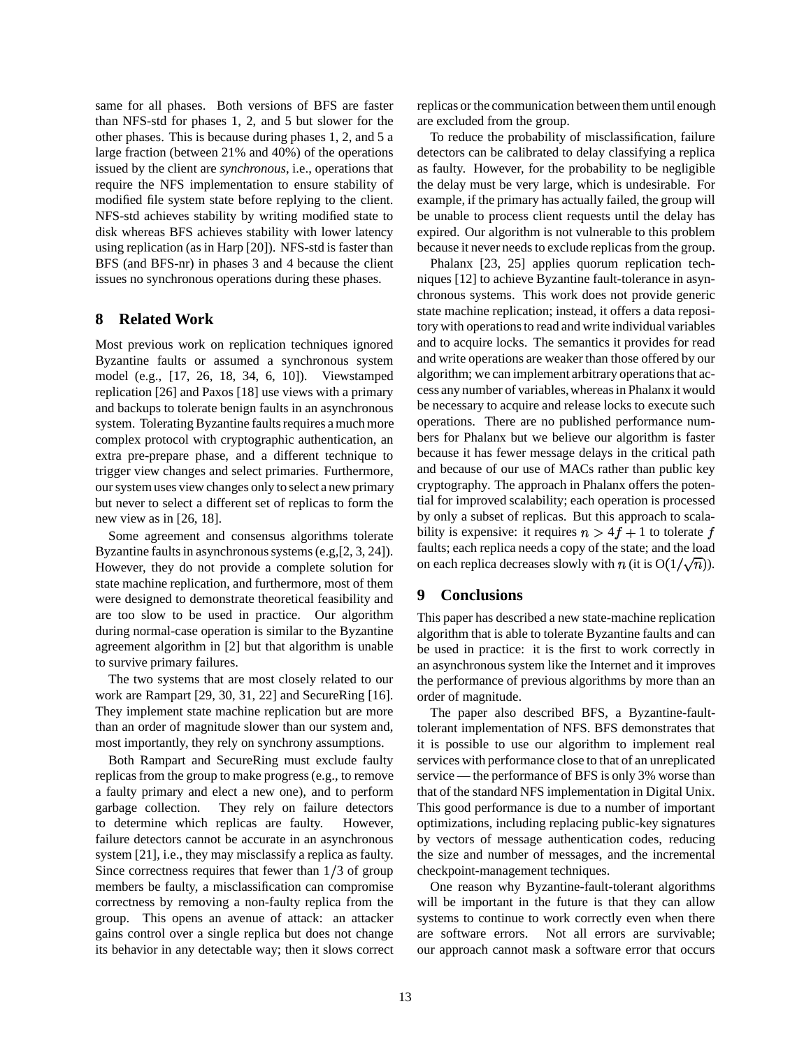same for all phases. Both versions of BFS are faster than NFS-std for phases 1, 2, and 5 but slower for the other phases. This is because during phases 1, 2, and 5 a large fraction (between 21% and 40%) of the operations issued by the client are *synchronous*, i.e., operations that require the NFS implementation to ensure stability of modified file system state before replying to the client. NFS-std achieves stability by writing modified state to disk whereas BFS achieves stability with lower latency using replication (as in Harp [20]). NFS-std is faster than BFS (and BFS-nr) in phases 3 and 4 because the client issues no synchronous operations during these phases.

## **8 Related Work**

Most previous work on replication techniques ignored Byzantine faults or assumed a synchronous system model (e.g., [17, 26, 18, 34, 6, 10]). Viewstamped replication [26] and Paxos [18] use views with a primary and backups to tolerate benign faults in an asynchronous system. Tolerating Byzantine faults requires a much more complex protocol with cryptographic authentication, an extra pre-prepare phase, and a different technique to trigger view changes and select primaries. Furthermore, our system uses view changes only to select a new primary but never to select a different set of replicas to form the new view as in [26, 18].

Some agreement and consensus algorithms tolerate Byzantine faults in asynchronous systems (e.g, [2, 3, 24]). However, they do not provide a complete solution for state machine replication, and furthermore, most of them were designed to demonstrate theoretical feasibility and are too slow to be used in practice. Our algorithm during normal-case operation is similar to the Byzantine agreement algorithm in [2] but that algorithm is unable to survive primary failures.

The two systems that are most closely related to our work are Rampart [29, 30, 31, 22] and SecureRing [16]. They implement state machine replication but are more than an order of magnitude slower than our system and, most importantly, they rely on synchrony assumptions.

Both Rampart and SecureRing must exclude faulty replicas from the group to make progress (e.g., to remove a faulty primary and elect a new one), and to perform garbage collection. They rely on failure detectors to determine which replicas are faulty. However, failure detectors cannot be accurate in an asynchronous system [21], i.e., they may misclassify a replica as faulty. Since correctness requires that fewer than  $1/3$  of group members be faulty, a misclassification can compromise correctness by removing a non-faulty replica from the group. This opens an avenue of attack: an attacker gains control over a single replica but does not change its behavior in any detectable way; then it slows correct replicas orthe communication between themuntil enough are excluded from the group.

To reduce the probability of misclassification, failure detectors can be calibrated to delay classifying a replica as faulty. However, for the probability to be negligible the delay must be very large, which is undesirable. For example, if the primary has actually failed, the group will be unable to process client requests until the delay has expired. Our algorithm is not vulnerable to this problem because it never needs to exclude replicas from the group.

Phalanx [23, 25] applies quorum replication techniques [12] to achieve Byzantine fault-tolerance in asynchronous systems. This work does not provide generic state machine replication; instead, it offers a data repository with operations to read and write individual variables and to acquire locks. The semantics it provides for read and write operations are weaker than those offered by our algorithm; we can implement arbitrary operations that access any number of variables,whereasinPhalanx it would be necessary to acquire and release locks to execute such operations. There are no published performance numbers for Phalanx but we believe our algorithm is faster because it has fewer message delays in the critical path and because of our use of MACs rather than public key cryptography. The approach in Phalanx offers the potential for improved scalability; each operation is processed by only a subset of replicas. But this approach to scalability is expensive: it requires  $n > 4f + 1$  to tolerate f faults; each replica needs a copy of the state; and the load on each replica decreases slowly with n (it is  $O(1/\sqrt{n})$ ).

# **9 Conclusions**

This paper has described a new state-machine replication algorithm that is able to tolerate Byzantine faults and can be used in practice: it is the first to work correctly in an asynchronous system like the Internet and it improves the performance of previous algorithms by more than an order of magnitude.

The paper also described BFS, a Byzantine-faulttolerant implementation of NFS. BFS demonstrates that it is possible to use our algorithm to implement real services with performance close to that of an unreplicated service — the performance of BFS is only 3% worse than that of the standard NFS implementation in Digital Unix. This good performance is due to a number of important optimizations, including replacing public-key signatures by vectors of message authentication codes, reducing the size and number of messages, and the incremental checkpoint-management techniques.

One reason why Byzantine-fault-tolerant algorithms will be important in the future is that they can allow systems to continue to work correctly even when there are software errors. Not all errors are survivable; our approach cannot mask a software error that occurs